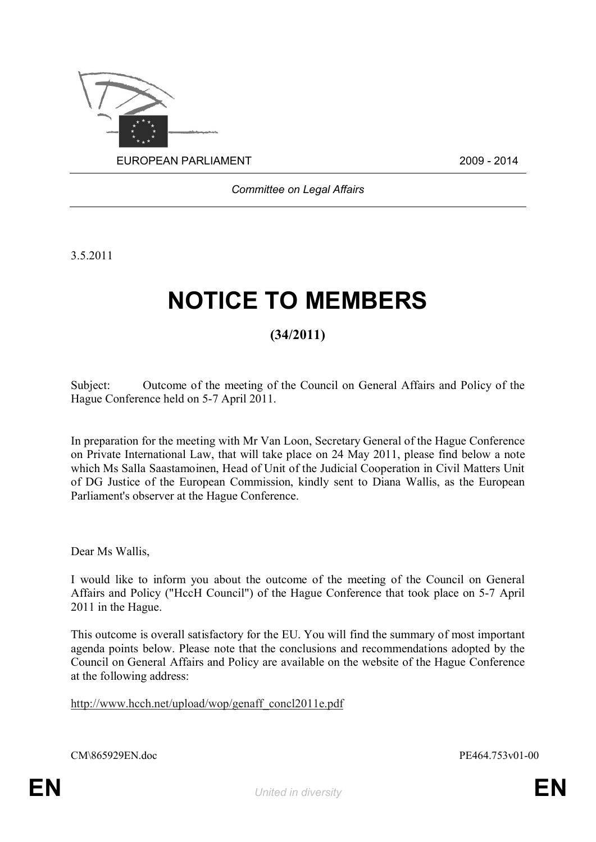

*Committee on Legal Affairs*

3.5.2011

## **NOTICE TO MEMBERS**

## **(34/2011)**

Subject: Outcome of the meeting of the Council on General Affairs and Policy of the Hague Conference held on 5-7 April 2011.

In preparation for the meeting with Mr Van Loon, Secretary General of the Hague Conference on Private International Law, that will take place on 24 May 2011, please find below a note which Ms Salla Saastamoinen, Head of Unit of the Judicial Cooperation in Civil Matters Unit of DG Justice of the European Commission, kindly sent to Diana Wallis, as the European Parliament's observer at the Hague Conference.

Dear Ms Wallis,

I would like to inform you about the outcome of the meeting of the Council on General Affairs and Policy ("HccH Council") of the Hague Conference that took place on 5-7 April 2011 in the Hague.

This outcome is overall satisfactory for the EU. You will find the summary of most important agenda points below. Please note that the conclusions and recommendations adopted by the Council on General Affairs and Policy are available on the website of the Hague Conference at the following address:

http://www.hcch.net/upload/wop/genaff\_concl2011e.pdf

CM\865929EN.doc PE464.753v01-00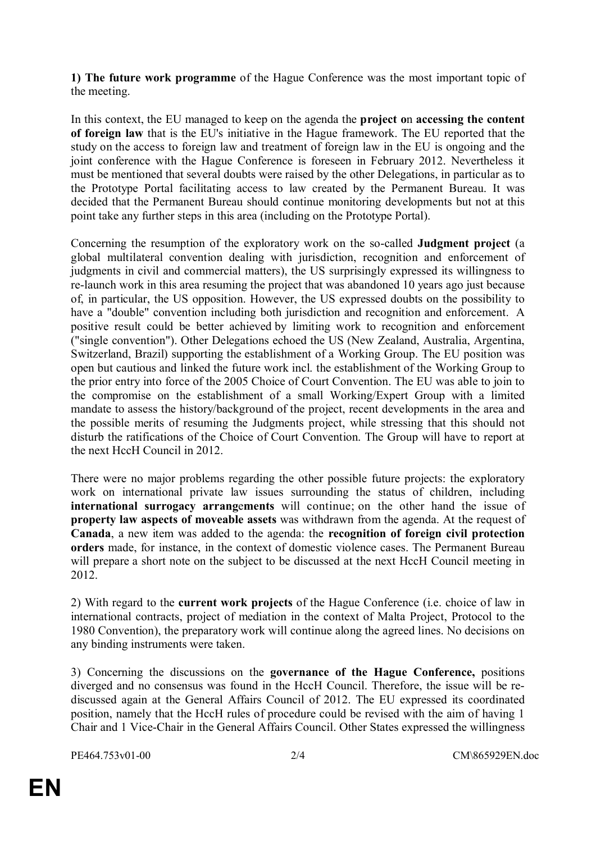**1) The future work programme** of the Hague Conference was the most important topic of the meeting.

In this context, the EU managed to keep on the agenda the **project o**n **accessing the content of foreign law** that is the EU's initiative in the Hague framework. The EU reported that the study on the access to foreign law and treatment of foreign law in the EU is ongoing and the joint conference with the Hague Conference is foreseen in February 2012. Nevertheless it must be mentioned that several doubts were raised by the other Delegations, in particular as to the Prototype Portal facilitating access to law created by the Permanent Bureau. It was decided that the Permanent Bureau should continue monitoring developments but not at this point take any further steps in this area (including on the Prototype Portal).

Concerning the resumption of the exploratory work on the so-called **Judgment project** (a global multilateral convention dealing with jurisdiction, recognition and enforcement of judgments in civil and commercial matters), the US surprisingly expressed its willingness to re-launch work in this area resuming the project that was abandoned 10 years ago just because of, in particular, the US opposition. However, the US expressed doubts on the possibility to have a "double" convention including both jurisdiction and recognition and enforcement. A positive result could be better achieved by limiting work to recognition and enforcement ("single convention"). Other Delegations echoed the US (New Zealand, Australia, Argentina, Switzerland, Brazil) supporting the establishment of a Working Group. The EU position was open but cautious and linked the future work incl. the establishment of the Working Group to the prior entry into force of the 2005 Choice of Court Convention. The EU was able to join to the compromise on the establishment of a small Working/Expert Group with a limited mandate to assess the history/background of the project, recent developments in the area and the possible merits of resuming the Judgments project, while stressing that this should not disturb the ratifications of the Choice of Court Convention. The Group will have to report at the next HccH Council in 2012.

There were no major problems regarding the other possible future projects: the exploratory work on international private law issues surrounding the status of children, including **international surrogacy arrangements** will continue; on the other hand the issue of **property law aspects of moveable assets** was withdrawn from the agenda. At the request of **Canada**, a new item was added to the agenda: the **recognition of foreign civil protection orders** made, for instance, in the context of domestic violence cases. The Permanent Bureau will prepare a short note on the subject to be discussed at the next HccH Council meeting in 2012.

2) With regard to the **current work projects** of the Hague Conference (i.e. choice of law in international contracts, project of mediation in the context of Malta Project, Protocol to the 1980 Convention), the preparatory work will continue along the agreed lines. No decisions on any binding instruments were taken.

3) Concerning the discussions on the **governance of the Hague Conference,** positions diverged and no consensus was found in the HccH Council. Therefore, the issue will be rediscussed again at the General Affairs Council of 2012. The EU expressed its coordinated position, namely that the HccH rules of procedure could be revised with the aim of having 1 Chair and 1 Vice-Chair in the General Affairs Council. Other States expressed the willingness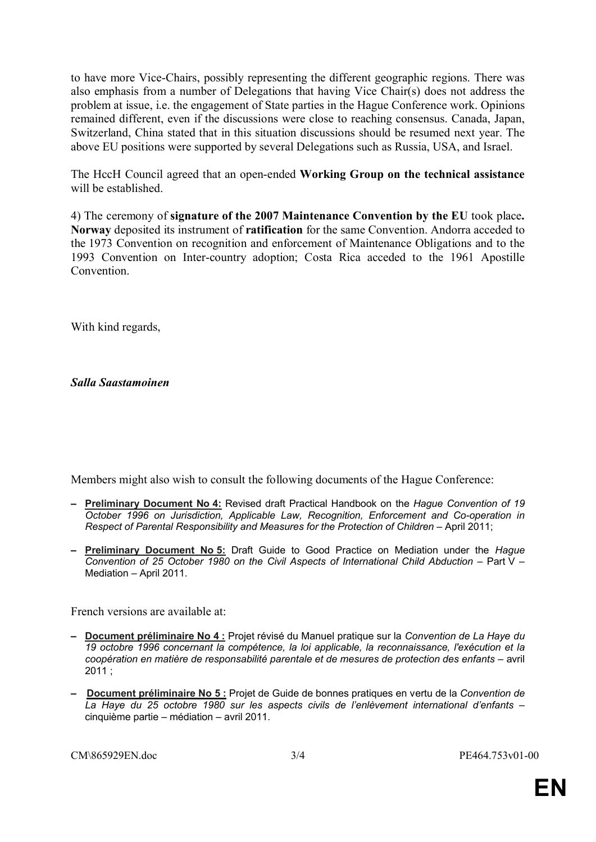to have more Vice-Chairs, possibly representing the different geographic regions. There was also emphasis from a number of Delegations that having Vice Chair(s) does not address the problem at issue, i.e. the engagement of State parties in the Hague Conference work. Opinions remained different, even if the discussions were close to reaching consensus. Canada, Japan, Switzerland, China stated that in this situation discussions should be resumed next year. The above EU positions were supported by several Delegations such as Russia, USA, and Israel.

The HccH Council agreed that an open-ended **Working Group on the technical assistance** will be established.

4) The ceremony of **signature of the 2007 Maintenance Convention by the EU** took place**. Norway** deposited its instrument of **ratification** for the same Convention. Andorra acceded to the 1973 Convention on recognition and enforcement of Maintenance Obligations and to the 1993 Convention on Inter-country adoption; Costa Rica acceded to the 1961 Apostille **Convention** 

With kind regards,

*Salla Saastamoinen*

Members might also wish to consult the following documents of the Hague Conference:

- **– Preliminary Document No 4:** Revised draft Practical Handbook on the *Hague Convention of 19 October 1996 on Jurisdiction, Applicable Law, Recognition, Enforcement and Co-operation in Respect of Parental Responsibility and Measures for the Protection of Children* – April 2011;
- **– Preliminary Document No 5:** Draft Guide to Good Practice on Mediation under the *Hague Convention of 25 October 1980 on the Civil Aspects of International Child Abduction* – Part V – Mediation – April 2011.

French versions are available at:

- **– Document préliminaire No 4 :** Projet révisé du Manuel pratique sur la *Convention de La Haye du 19 octobre 1996 concernant la compétence, la loi applicable, la reconnaissance, l'exécution et la coopération en matière de responsabilité parentale et de mesures de protection des enfants* – avril 2011 ;
- **– Document préliminaire No 5 :** Projet de Guide de bonnes pratiques en vertu de la *Convention de La Haye du 25 octobre 1980 sur les aspects civils de l'enlèvement international d'enfants* – cinquième partie – médiation – avril 2011.

CM\865929EN.doc 3/4 PE464.753v01-00